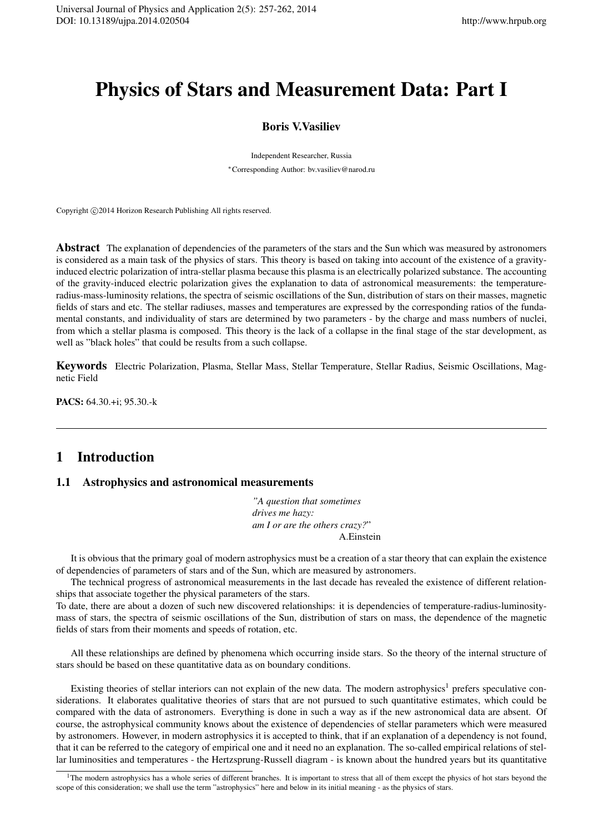# Physics of Stars and Measurement Data: Part I

# Boris V.Vasiliev

Independent Researcher, Russia *∗*Corresponding Author: bv.vasiliev@narod.ru

Copyright  $\odot$ 2014 Horizon Research Publishing All rights reserved.

Abstract The explanation of dependencies of the parameters of the stars and the Sun which was measured by astronomers is considered as a main task of the physics of stars. This theory is based on taking into account of the existence of a gravityinduced electric polarization of intra-stellar plasma because this plasma is an electrically polarized substance. The accounting of the gravity-induced electric polarization gives the explanation to data of astronomical measurements: the temperatureradius-mass-luminosity relations, the spectra of seismic oscillations of the Sun, distribution of stars on their masses, magnetic fields of stars and etc. The stellar radiuses, masses and temperatures are expressed by the corresponding ratios of the fundamental constants, and individuality of stars are determined by two parameters - by the charge and mass numbers of nuclei, from which a stellar plasma is composed. This theory is the lack of a collapse in the final stage of the star development, as well as "black holes" that could be results from a such collapse.

Keywords Electric Polarization, Plasma, Stellar Mass, Stellar Temperature, Stellar Radius, Seismic Oscillations, Magnetic Field

PACS: 64.30.+i; 95.30.-k

# 1 Introduction

# 1.1 Astrophysics and astronomical measurements

*"A question that sometimes drives me hazy: am I or are the others crazy?*" A.Einstein

It is obvious that the primary goal of modern astrophysics must be a creation of a star theory that can explain the existence of dependencies of parameters of stars and of the Sun, which are measured by astronomers.

The technical progress of astronomical measurements in the last decade has revealed the existence of different relationships that associate together the physical parameters of the stars.

To date, there are about a dozen of such new discovered relationships: it is dependencies of temperature-radius-luminositymass of stars, the spectra of seismic oscillations of the Sun, distribution of stars on mass, the dependence of the magnetic fields of stars from their moments and speeds of rotation, etc.

All these relationships are defined by phenomena which occurring inside stars. So the theory of the internal structure of stars should be based on these quantitative data as on boundary conditions.

Existing theories of stellar interiors can not explain of the new data. The modern astrophysics<sup>1</sup> prefers speculative considerations. It elaborates qualitative theories of stars that are not pursued to such quantitative estimates, which could be compared with the data of astronomers. Everything is done in such a way as if the new astronomical data are absent. Of course, the astrophysical community knows about the existence of dependencies of stellar parameters which were measured by astronomers. However, in modern astrophysics it is accepted to think, that if an explanation of a dependency is not found, that it can be referred to the category of empirical one and it need no an explanation. The so-called empirical relations of stellar luminosities and temperatures - the Hertzsprung-Russell diagram - is known about the hundred years but its quantitative

<sup>&</sup>lt;sup>1</sup>The modern astrophysics has a whole series of different branches. It is important to stress that all of them except the physics of hot stars beyond the scope of this consideration; we shall use the term "astrophysics" here and below in its initial meaning - as the physics of stars.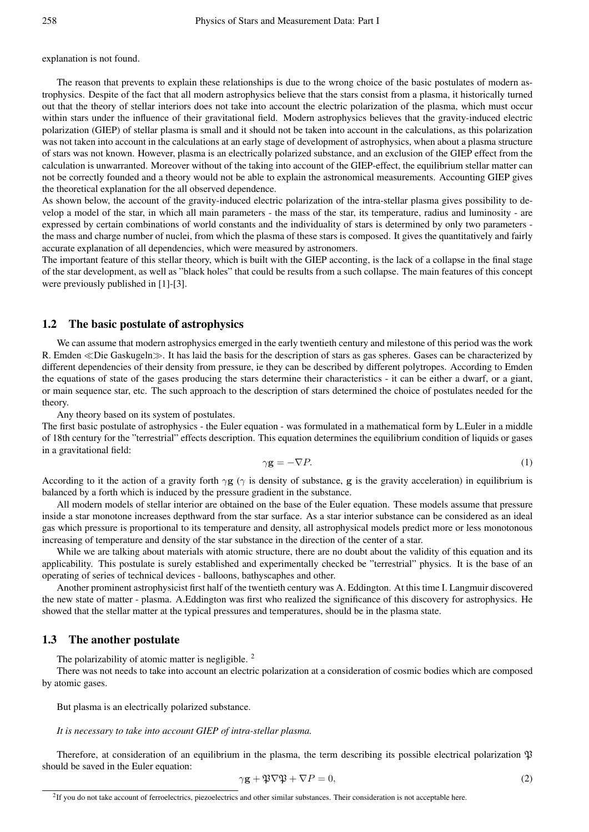explanation is not found.

The reason that prevents to explain these relationships is due to the wrong choice of the basic postulates of modern astrophysics. Despite of the fact that all modern astrophysics believe that the stars consist from a plasma, it historically turned out that the theory of stellar interiors does not take into account the electric polarization of the plasma, which must occur within stars under the influence of their gravitational field. Modern astrophysics believes that the gravity-induced electric polarization (GIEP) of stellar plasma is small and it should not be taken into account in the calculations, as this polarization was not taken into account in the calculations at an early stage of development of astrophysics, when about a plasma structure of stars was not known. However, plasma is an electrically polarized substance, and an exclusion of the GIEP effect from the calculation is unwarranted. Moreover without of the taking into account of the GIEP-effect, the equilibrium stellar matter can not be correctly founded and a theory would not be able to explain the astronomical measurements. Accounting GIEP gives the theoretical explanation for the all observed dependence.

As shown below, the account of the gravity-induced electric polarization of the intra-stellar plasma gives possibility to develop a model of the star, in which all main parameters - the mass of the star, its temperature, radius and luminosity - are expressed by certain combinations of world constants and the individuality of stars is determined by only two parameters the mass and charge number of nuclei, from which the plasma of these stars is composed. It gives the quantitatively and fairly accurate explanation of all dependencies, which were measured by astronomers.

The important feature of this stellar theory, which is built with the GIEP acconting, is the lack of a collapse in the final stage of the star development, as well as "black holes" that could be results from a such collapse. The main features of this concept were previously published in [1]-[3].

### 1.2 The basic postulate of astrophysics

We can assume that modern astrophysics emerged in the early twentieth century and milestone of this period was the work R. Emden *≪*Die Gaskugeln*≫*. It has laid the basis for the description of stars as gas spheres. Gases can be characterized by different dependencies of their density from pressure, ie they can be described by different polytropes. According to Emden the equations of state of the gases producing the stars determine their characteristics - it can be either a dwarf, or a giant, or main sequence star, etc. The such approach to the description of stars determined the choice of postulates needed for the theory.

Any theory based on its system of postulates.

The first basic postulate of astrophysics - the Euler equation - was formulated in a mathematical form by L.Euler in a middle of 18th century for the "terrestrial" effects description. This equation determines the equilibrium condition of liquids or gases in a gravitational field:

$$
\gamma \mathbf{g} = -\nabla P. \tag{1}
$$

According to it the action of a gravity forth  $\gamma$ **g** ( $\gamma$  is density of substance, **g** is the gravity acceleration) in equilibrium is balanced by a forth which is induced by the pressure gradient in the substance.

All modern models of stellar interior are obtained on the base of the Euler equation. These models assume that pressure inside a star monotone increases depthward from the star surface. As a star interior substance can be considered as an ideal gas which pressure is proportional to its temperature and density, all astrophysical models predict more or less monotonous increasing of temperature and density of the star substance in the direction of the center of a star.

While we are talking about materials with atomic structure, there are no doubt about the validity of this equation and its applicability. This postulate is surely established and experimentally checked be "terrestrial" physics. It is the base of an operating of series of technical devices - balloons, bathyscaphes and other.

Another prominent astrophysicist first half of the twentieth century was A. Eddington. At this time I. Langmuir discovered the new state of matter - plasma. A.Eddington was first who realized the significance of this discovery for astrophysics. He showed that the stellar matter at the typical pressures and temperatures, should be in the plasma state.

### 1.3 The another postulate

The polarizability of atomic matter is negligible.<sup>2</sup>

There was not needs to take into account an electric polarization at a consideration of cosmic bodies which are composed by atomic gases.

But plasma is an electrically polarized substance.

#### *It is necessary to take into account GIEP of intra-stellar plasma.*

Therefore, at consideration of an equilibrium in the plasma, the term describing its possible electrical polarization  $\mathfrak P$ should be saved in the Euler equation:

$$
\gamma \mathbf{g} + \mathfrak{P}\nabla\mathfrak{P} + \nabla P = 0,\tag{2}
$$

<sup>&</sup>lt;sup>2</sup>If you do not take account of ferroelectrics, piezoelectrics and other similar substances. Their consideration is not acceptable here.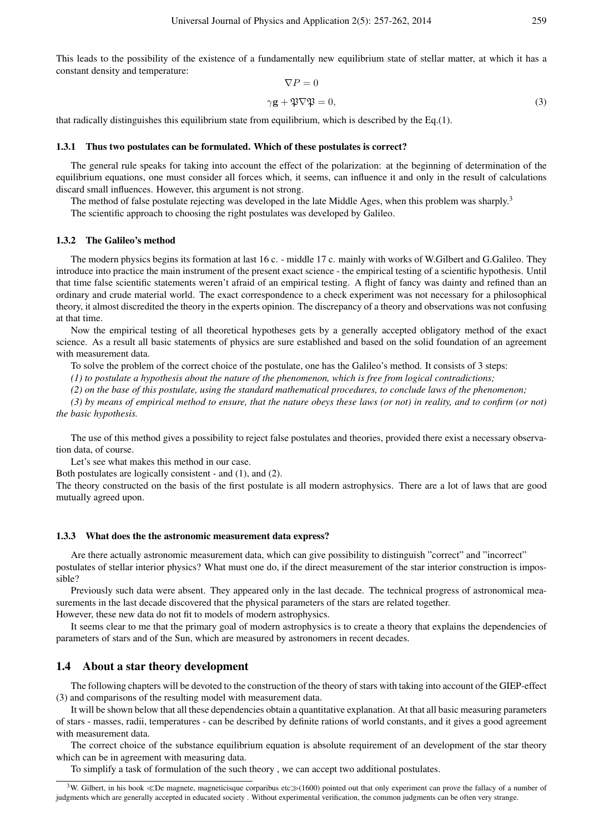This leads to the possibility of the existence of a fundamentally new equilibrium state of stellar matter, at which it has a constant density and temperature:

$$
\nabla P = 0
$$
  

$$
\gamma \mathbf{g} + \mathfrak{P} \nabla \mathfrak{P} = 0,
$$
 (3)

that radically distinguishes this equilibrium state from equilibrium, which is described by the Eq.(1).

### 1.3.1 Thus two postulates can be formulated. Which of these postulates is correct?

The general rule speaks for taking into account the effect of the polarization: at the beginning of determination of the equilibrium equations, one must consider all forces which, it seems, can influence it and only in the result of calculations discard small influences. However, this argument is not strong.

The method of false postulate rejecting was developed in the late Middle Ages, when this problem was sharply.<sup>3</sup>

The scientific approach to choosing the right postulates was developed by Galileo.

#### 1.3.2 The Galileo's method

The modern physics begins its formation at last 16 c. - middle 17 c. mainly with works of W.Gilbert and G.Galileo. They introduce into practice the main instrument of the present exact science - the empirical testing of a scientific hypothesis. Until that time false scientific statements weren't afraid of an empirical testing. A flight of fancy was dainty and refined than an ordinary and crude material world. The exact correspondence to a check experiment was not necessary for a philosophical theory, it almost discredited the theory in the experts opinion. The discrepancy of a theory and observations was not confusing at that time.

Now the empirical testing of all theoretical hypotheses gets by a generally accepted obligatory method of the exact science. As a result all basic statements of physics are sure established and based on the solid foundation of an agreement with measurement data.

To solve the problem of the correct choice of the postulate, one has the Galileo's method. It consists of 3 steps:

*(1) to postulate a hypothesis about the nature of the phenomenon, which is free from logical contradictions;*

*(2) on the base of this postulate, using the standard mathematical procedures, to conclude laws of the phenomenon;*

*(3) by means of empirical method to ensure, that the nature obeys these laws (or not) in reality, and to confirm (or not) the basic hypothesis.*

The use of this method gives a possibility to reject false postulates and theories, provided there exist a necessary observation data, of course.

Let's see what makes this method in our case.

Both postulates are logically consistent - and (1), and (2).

The theory constructed on the basis of the first postulate is all modern astrophysics. There are a lot of laws that are good mutually agreed upon.

#### 1.3.3 What does the the astronomic measurement data express?

Are there actually astronomic measurement data, which can give possibility to distinguish "correct" and "incorrect" postulates of stellar interior physics? What must one do, if the direct measurement of the star interior construction is impossible?

Previously such data were absent. They appeared only in the last decade. The technical progress of astronomical measurements in the last decade discovered that the physical parameters of the stars are related together. However, these new data do not fit to models of modern astrophysics.

It seems clear to me that the primary goal of modern astrophysics is to create a theory that explains the dependencies of parameters of stars and of the Sun, which are measured by astronomers in recent decades.

### 1.4 About a star theory development

The following chapters will be devoted to the construction of the theory of stars with taking into account of the GIEP-effect (3) and comparisons of the resulting model with measurement data.

It will be shown below that all these dependencies obtain a quantitative explanation. At that all basic measuring parameters of stars - masses, radii, temperatures - can be described by definite rations of world constants, and it gives a good agreement with measurement data.

The correct choice of the substance equilibrium equation is absolute requirement of an development of the star theory which can be in agreement with measuring data.

To simplify a task of formulation of the such theory , we can accept two additional postulates.

<sup>3</sup>W. Gilbert, in his book *<sup>≪</sup>*De magnete, magneticisque corparibus etc*≫*(1600) pointed out that only experiment can prove the fallacy of a number of judgments which are generally accepted in educated society . Without experimental verification, the common judgments can be often very strange.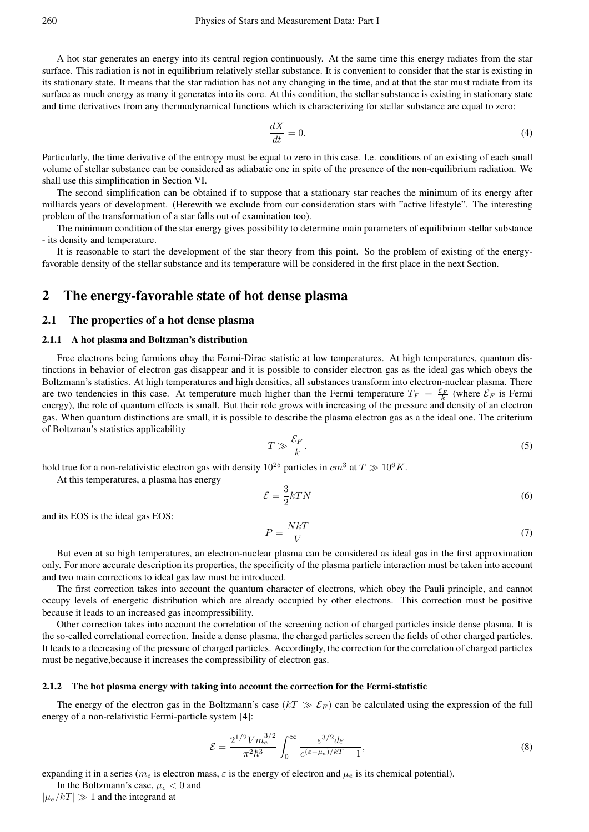A hot star generates an energy into its central region continuously. At the same time this energy radiates from the star surface. This radiation is not in equilibrium relatively stellar substance. It is convenient to consider that the star is existing in its stationary state. It means that the star radiation has not any changing in the time, and at that the star must radiate from its surface as much energy as many it generates into its core. At this condition, the stellar substance is existing in stationary state and time derivatives from any thermodynamical functions which is characterizing for stellar substance are equal to zero:

$$
\frac{dX}{dt} = 0.\t\t(4)
$$

Particularly, the time derivative of the entropy must be equal to zero in this case. I.e. conditions of an existing of each small volume of stellar substance can be considered as adiabatic one in spite of the presence of the non-equilibrium radiation. We shall use this simplification in Section VI.

The second simplification can be obtained if to suppose that a stationary star reaches the minimum of its energy after milliards years of development. (Herewith we exclude from our consideration stars with "active lifestyle". The interesting problem of the transformation of a star falls out of examination too).

The minimum condition of the star energy gives possibility to determine main parameters of equilibrium stellar substance - its density and temperature.

It is reasonable to start the development of the star theory from this point. So the problem of existing of the energyfavorable density of the stellar substance and its temperature will be considered in the first place in the next Section.

# 2 The energy-favorable state of hot dense plasma

### 2.1 The properties of a hot dense plasma

### 2.1.1 A hot plasma and Boltzman's distribution

Free electrons being fermions obey the Fermi-Dirac statistic at low temperatures. At high temperatures, quantum distinctions in behavior of electron gas disappear and it is possible to consider electron gas as the ideal gas which obeys the Boltzmann's statistics. At high temperatures and high densities, all substances transform into electron-nuclear plasma. There are two tendencies in this case. At temperature much higher than the Fermi temperature  $T_F = \frac{\mathcal{E}_F}{k}$  (where  $\mathcal{E}_F$  is Fermi energy), the role of quantum effects is small. But their role grows with increasing of the pressure and density of an electron gas. When quantum distinctions are small, it is possible to describe the plasma electron gas as a the ideal one. The criterium of Boltzman's statistics applicability

$$
T \gg \frac{\mathcal{E}_F}{k}.\tag{5}
$$

hold true for a non-relativistic electron gas with density  $10^{25}$  particles in  $cm^3$  at  $T \gg 10^6 K$ .

At this temperatures, a plasma has energy

$$
\mathcal{E} = \frac{3}{2}kTN\tag{6}
$$

and its EOS is the ideal gas EOS:

$$
P = \frac{NkT}{V} \tag{7}
$$

But even at so high temperatures, an electron-nuclear plasma can be considered as ideal gas in the first approximation only. For more accurate description its properties, the specificity of the plasma particle interaction must be taken into account and two main corrections to ideal gas law must be introduced.

The first correction takes into account the quantum character of electrons, which obey the Pauli principle, and cannot occupy levels of energetic distribution which are already occupied by other electrons. This correction must be positive because it leads to an increased gas incompressibility.

Other correction takes into account the correlation of the screening action of charged particles inside dense plasma. It is the so-called correlational correction. Inside a dense plasma, the charged particles screen the fields of other charged particles. It leads to a decreasing of the pressure of charged particles. Accordingly, the correction for the correlation of charged particles must be negative,because it increases the compressibility of electron gas.

### 2.1.2 The hot plasma energy with taking into account the correction for the Fermi-statistic

The energy of the electron gas in the Boltzmann's case  $(kT \gg \mathcal{E}_F)$  can be calculated using the expression of the full energy of a non-relativistic Fermi-particle system [4]:

$$
\mathcal{E} = \frac{2^{1/2} V m_e^{3/2}}{\pi^2 \hbar^3} \int_0^\infty \frac{\varepsilon^{3/2} d\varepsilon}{e^{(\varepsilon - \mu_e)/kT} + 1},\tag{8}
$$

expanding it in a series ( $m_e$  is electron mass,  $\varepsilon$  is the energy of electron and  $\mu_e$  is its chemical potential).

In the Boltzmann's case,  $\mu_e < 0$  and  $|\mu_e/kT| \gg 1$  and the integrand at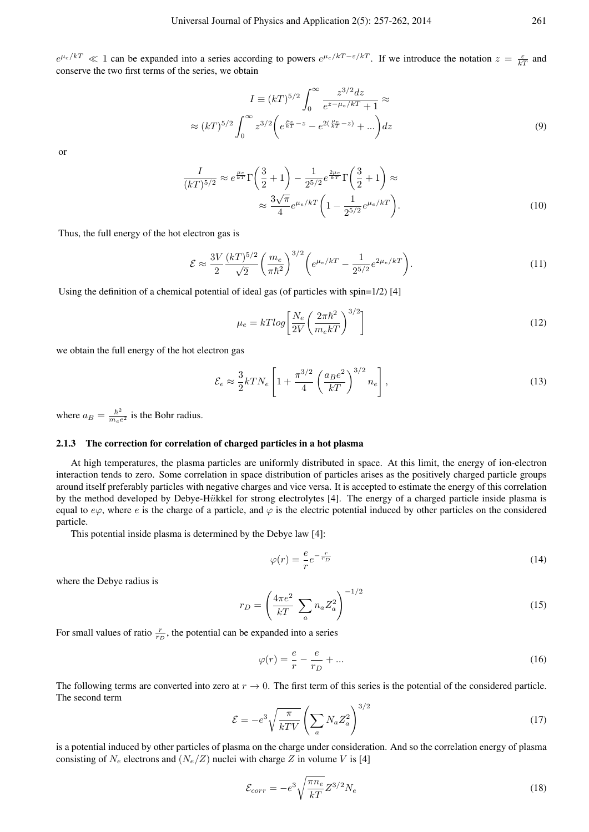$e^{\mu_e/kT} \ll 1$  can be expanded into a series according to powers  $e^{\mu_e/kT - \epsilon/kT}$ . If we introduce the notation  $z = \frac{\varepsilon}{kT}$  and conserve the two first terms of the series, we obtain

$$
I = (kT)^{5/2} \int_0^\infty \frac{z^{3/2} dz}{e^{z - \mu_e/kT} + 1} \approx
$$
  
 
$$
\approx (kT)^{5/2} \int_0^\infty z^{3/2} \left( e^{\frac{\mu_e}{kT} - z} - e^{2(\frac{\mu_e}{kT} - z)} + \dots \right) dz
$$
 (9)

or

$$
\frac{I}{(kT)^{5/2}} \approx e^{\frac{\mu_e}{kT}} \Gamma\left(\frac{3}{2}+1\right) - \frac{1}{2^{5/2}} e^{\frac{2\mu_e}{kT}} \Gamma\left(\frac{3}{2}+1\right) \approx
$$
\n
$$
\approx \frac{3\sqrt{\pi}}{4} e^{\mu_e/kT} \left(1 - \frac{1}{2^{5/2}} e^{\mu_e/kT}\right).
$$
\n(10)

Thus, the full energy of the hot electron gas is

$$
\mathcal{E} \approx \frac{3V}{2} \frac{(kT)^{5/2}}{\sqrt{2}} \left(\frac{m_e}{\pi \hbar^2}\right)^{3/2} \left(e^{\mu_e/kT} - \frac{1}{2^{5/2}} e^{2\mu_e/kT}\right).
$$
 (11)

Using the definition of a chemical potential of ideal gas (of particles with spin=1/2) [4]

$$
\mu_e = kT \log \left[ \frac{N_e}{2V} \left( \frac{2\pi \hbar^2}{m_e kT} \right)^{3/2} \right]
$$
\n(12)

we obtain the full energy of the hot electron gas

$$
\mathcal{E}_e \approx \frac{3}{2} kT N_e \left[ 1 + \frac{\pi^{3/2}}{4} \left( \frac{a_B e^2}{kT} \right)^{3/2} n_e \right],\tag{13}
$$

where  $a_B = \frac{\hbar^2}{m_e t}$  $\frac{h^2}{m_e e^2}$  is the Bohr radius.

### 2.1.3 The correction for correlation of charged particles in a hot plasma

At high temperatures, the plasma particles are uniformly distributed in space. At this limit, the energy of ion-electron interaction tends to zero. Some correlation in space distribution of particles arises as the positively charged particle groups around itself preferably particles with negative charges and vice versa. It is accepted to estimate the energy of this correlation by the method developed by Debye-H*u*ïkkel for strong electrolytes [4]. The energy of a charged particle inside plasma is equal to  $e\varphi$ , where *e* is the charge of a particle, and  $\varphi$  is the electric potential induced by other particles on the considered particle.

This potential inside plasma is determined by the Debye law [4]:

$$
\varphi(r) = \frac{e}{r} e^{-\frac{r}{r_D}} \tag{14}
$$

where the Debye radius is

$$
r_D = \left(\frac{4\pi e^2}{kT} \sum_a n_a Z_a^2\right)^{-1/2} \tag{15}
$$

For small values of ratio  $\frac{r}{r_D}$ , the potential can be expanded into a series

$$
\varphi(r) = \frac{e}{r} - \frac{e}{r_D} + \dots \tag{16}
$$

The following terms are converted into zero at  $r \to 0$ . The first term of this series is the potential of the considered particle. The second term

$$
\mathcal{E} = -e^3 \sqrt{\frac{\pi}{kTV}} \left( \sum_a N_a Z_a^2 \right)^{3/2} \tag{17}
$$

is a potential induced by other particles of plasma on the charge under consideration. And so the correlation energy of plasma consisting of  $N_e$  electrons and  $(N_e/Z)$  nuclei with charge  $Z$  in volume  $V$  is [4]

$$
\mathcal{E}_{corr} = -e^3 \sqrt{\frac{\pi n_e}{kT}} Z^{3/2} N_e \tag{18}
$$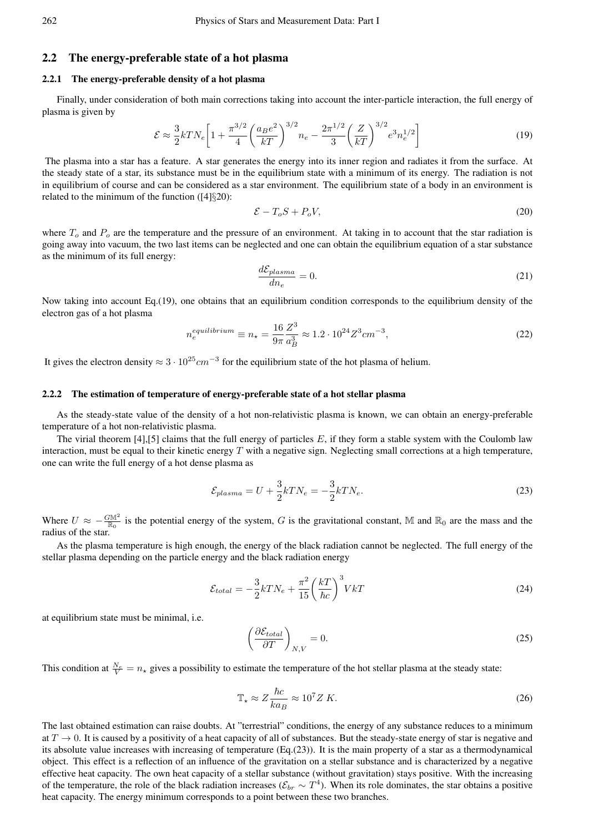# 2.2 The energy-preferable state of a hot plasma

### 2.2.1 The energy-preferable density of a hot plasma

Finally, under consideration of both main corrections taking into account the inter-particle interaction, the full energy of plasma is given by

$$
\mathcal{E} \approx \frac{3}{2} k T N_e \left[ 1 + \frac{\pi^{3/2}}{4} \left( \frac{a_B e^2}{kT} \right)^{3/2} n_e - \frac{2\pi^{1/2}}{3} \left( \frac{Z}{kT} \right)^{3/2} e^3 n_e^{1/2} \right]
$$
(19)

The plasma into a star has a feature. A star generates the energy into its inner region and radiates it from the surface. At the steady state of a star, its substance must be in the equilibrium state with a minimum of its energy. The radiation is not in equilibrium of course and can be considered as a star environment. The equilibrium state of a body in an environment is related to the minimum of the function ([4]*§*20):

$$
\mathcal{E} - T_o S + P_o V,\tag{20}
$$

where  $T<sub>o</sub>$  and  $P<sub>o</sub>$  are the temperature and the pressure of an environment. At taking in to account that the star radiation is going away into vacuum, the two last items can be neglected and one can obtain the equilibrium equation of a star substance as the minimum of its full energy:

$$
\frac{d\mathcal{E}_{plasma}}{dn_e} = 0.\tag{21}
$$

Now taking into account Eq.(19), one obtains that an equilibrium condition corresponds to the equilibrium density of the electron gas of a hot plasma

$$
n_e^{equilibrium} \equiv n_{\star} = \frac{16}{9\pi} \frac{Z^3}{a_B^3} \approx 1.2 \cdot 10^{24} Z^3 cm^{-3},\tag{22}
$$

It gives the electron density  $\approx 3 \cdot 10^{25}$  *cm*<sup>−3</sup> for the equilibrium state of the hot plasma of helium.

#### 2.2.2 The estimation of temperature of energy-preferable state of a hot stellar plasma

As the steady-state value of the density of a hot non-relativistic plasma is known, we can obtain an energy-preferable temperature of a hot non-relativistic plasma.

The virial theorem  $[4]$ ,  $[5]$  claims that the full energy of particles  $E$ , if they form a stable system with the Coulomb law interaction, must be equal to their kinetic energy *T* with a negative sign. Neglecting small corrections at a high temperature, one can write the full energy of a hot dense plasma as

$$
\mathcal{E}_{plasma} = U + \frac{3}{2}kTN_e = -\frac{3}{2}kTN_e.
$$
\n
$$
(23)
$$

Where  $U \approx -\frac{G M^2}{R_0}$  is the potential energy of the system, *G* is the gravitational constant, M and  $R_0$  are the mass and the radius of the star.

As the plasma temperature is high enough, the energy of the black radiation cannot be neglected. The full energy of the stellar plasma depending on the particle energy and the black radiation energy

$$
\mathcal{E}_{total} = -\frac{3}{2}kTN_e + \frac{\pi^2}{15} \left(\frac{kT}{\hbar c}\right)^3 VkT
$$
\n(24)

at equilibrium state must be minimal, i.e.

$$
\left(\frac{\partial \mathcal{E}_{total}}{\partial T}\right)_{N,V} = 0. \tag{25}
$$

This condition at  $\frac{N_e}{V} = n_{\star}$  gives a possibility to estimate the temperature of the hot stellar plasma at the steady state:

$$
\mathbb{T}_{\star} \approx Z \frac{\hbar c}{k a_B} \approx 10^7 Z \, K. \tag{26}
$$

The last obtained estimation can raise doubts. At "terrestrial" conditions, the energy of any substance reduces to a minimum at  $T \to 0$ . It is caused by a positivity of a heat capacity of all of substances. But the steady-state energy of star is negative and its absolute value increases with increasing of temperature (Eq.(23)). It is the main property of a star as a thermodynamical object. This effect is a reflection of an influence of the gravitation on a stellar substance and is characterized by a negative effective heat capacity. The own heat capacity of a stellar substance (without gravitation) stays positive. With the increasing of the temperature, the role of the black radiation increases ( $\mathcal{E}_{br} \sim T^4$ ). When its role dominates, the star obtains a positive heat capacity. The energy minimum corresponds to a point between these two branches.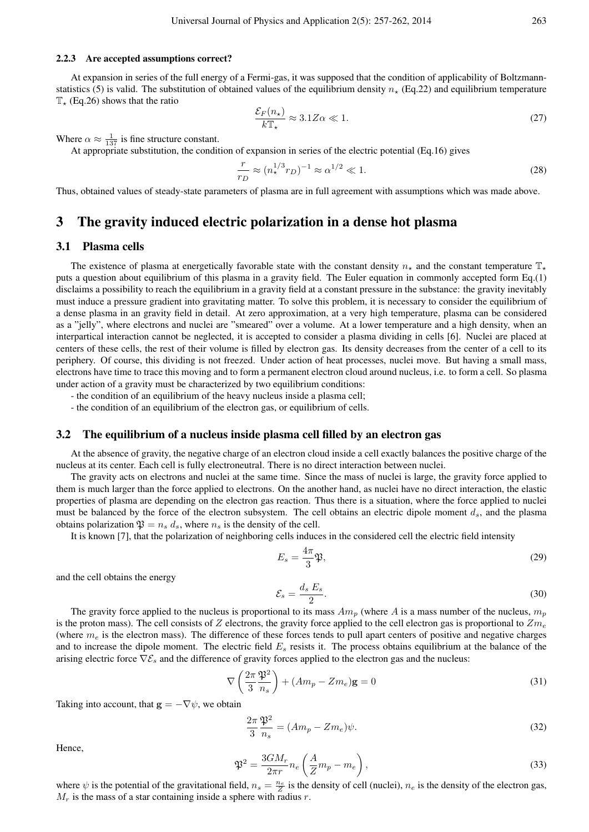### 2.2.3 Are accepted assumptions correct?

At expansion in series of the full energy of a Fermi-gas, it was supposed that the condition of applicability of Boltzmannstatistics (5) is valid. The substitution of obtained values of the equilibrium density  $n_{\star}$  (Eq.22) and equilibrium temperature T*<sup>⋆</sup>* (Eq.26) shows that the ratio

$$
\frac{\mathcal{E}_F(n_\star)}{k \mathbb{T}_\star} \approx 3.1 Z \alpha \ll 1. \tag{27}
$$

Where  $\alpha \approx \frac{1}{137}$  is fine structure constant.

At appropriate substitution, the condition of expansion in series of the electric potential (Eq.16) gives

$$
\frac{r}{r_D} \approx (n_\star^{1/3} r_D)^{-1} \approx \alpha^{1/2} \ll 1.
$$
 (28)

Thus, obtained values of steady-state parameters of plasma are in full agreement with assumptions which was made above.

# 3 The gravity induced electric polarization in a dense hot plasma

# 3.1 Plasma cells

The existence of plasma at energetically favorable state with the constant density  $n<sub>∗</sub>$  and the constant temperature  $\mathbb{T}_{\ast}$ puts a question about equilibrium of this plasma in a gravity field. The Euler equation in commonly accepted form Eq.(1) disclaims a possibility to reach the equilibrium in a gravity field at a constant pressure in the substance: the gravity inevitably must induce a pressure gradient into gravitating matter. To solve this problem, it is necessary to consider the equilibrium of a dense plasma in an gravity field in detail. At zero approximation, at a very high temperature, plasma can be considered as a "jelly", where electrons and nuclei are "smeared" over a volume. At a lower temperature and a high density, when an interpartical interaction cannot be neglected, it is accepted to consider a plasma dividing in cells [6]. Nuclei are placed at centers of these cells, the rest of their volume is filled by electron gas. Its density decreases from the center of a cell to its periphery. Of course, this dividing is not freezed. Under action of heat processes, nuclei move. But having a small mass, electrons have time to trace this moving and to form a permanent electron cloud around nucleus, i.e. to form a cell. So plasma under action of a gravity must be characterized by two equilibrium conditions:

- the condition of an equilibrium of the heavy nucleus inside a plasma cell;

- the condition of an equilibrium of the electron gas, or equilibrium of cells.

#### 3.2 The equilibrium of a nucleus inside plasma cell filled by an electron gas

At the absence of gravity, the negative charge of an electron cloud inside a cell exactly balances the positive charge of the nucleus at its center. Each cell is fully electroneutral. There is no direct interaction between nuclei.

The gravity acts on electrons and nuclei at the same time. Since the mass of nuclei is large, the gravity force applied to them is much larger than the force applied to electrons. On the another hand, as nuclei have no direct interaction, the elastic properties of plasma are depending on the electron gas reaction. Thus there is a situation, where the force applied to nuclei must be balanced by the force of the electron subsystem. The cell obtains an electric dipole moment *ds*, and the plasma obtains polarization  $\mathfrak{P} = n_s d_s$ , where  $n_s$  is the density of the cell.

It is known [7], that the polarization of neighboring cells induces in the considered cell the electric field intensity

$$
E_s = \frac{4\pi}{3}\mathfrak{P},\tag{29}
$$

and the cell obtains the energy

$$
\mathcal{E}_s = \frac{d_s E_s}{2}.\tag{30}
$$

The gravity force applied to the nucleus is proportional to its mass  $Am_p$  (where *A* is a mass number of the nucleus,  $m_p$ is the proton mass). The cell consists of *Z* electrons, the gravity force applied to the cell electron gas is proportional to  $Zm_e$ (where  $m<sub>e</sub>$  is the electron mass). The difference of these forces tends to pull apart centers of positive and negative charges and to increase the dipole moment. The electric field *E<sup>s</sup>* resists it. The process obtains equilibrium at the balance of the arising electric force *∇E<sup>s</sup>* and the difference of gravity forces applied to the electron gas and the nucleus:

$$
\nabla \left(\frac{2\pi}{3} \frac{\mathfrak{P}^2}{n_s}\right) + (Am_p - Zm_e)\mathbf{g} = 0
$$
\n(31)

Taking into account, that  $\mathbf{g} = -\nabla \psi$ , we obtain

$$
\frac{2\pi}{3}\frac{\mathfrak{P}^2}{n_s} = (Am_p - Zm_e)\psi.
$$
\n(32)

Hence,

$$
\mathfrak{P}^2 = \frac{3GM_r}{2\pi r} n_e \left(\frac{A}{Z}m_p - m_e\right),\tag{33}
$$

where  $\psi$  is the potential of the gravitational field,  $n_s = \frac{n_e}{Z}$  is the density of cell (nuclei),  $n_e$  is the density of the electron gas,  $M_r$  is the mass of a star containing inside a sphere with radius  $r$ .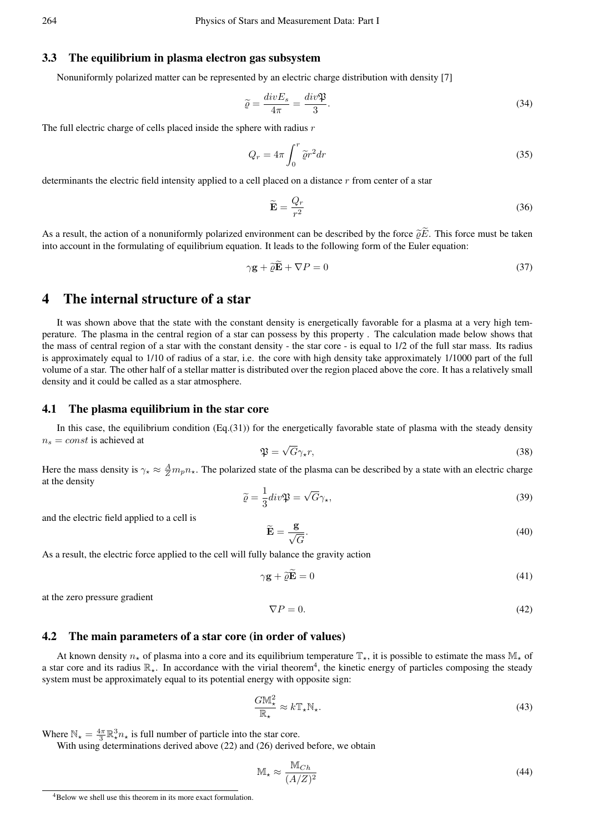# 3.3 The equilibrium in plasma electron gas subsystem

Nonuniformly polarized matter can be represented by an electric charge distribution with density [7]

$$
\widetilde{\varrho} = \frac{div E_s}{4\pi} = \frac{div \mathfrak{P}}{3}.
$$
\n(34)

The full electric charge of cells placed inside the sphere with radius *r*

$$
Q_r = 4\pi \int_0^r \tilde{\varrho} r^2 dr \tag{35}
$$

determinants the electric field intensity applied to a cell placed on a distance *r* from center of a star

$$
\widetilde{\mathbf{E}} = \frac{Q_r}{r^2} \tag{36}
$$

As a result, the action of a nonuniformly polarized environment can be described by the force  $\tilde{\rho}\tilde{E}$ . This force must be taken into account in the formulating of equilibrium equation. It leads to the following form of the Euler equation:

$$
\gamma \mathbf{g} + \tilde{\varrho} \tilde{\mathbf{E}} + \nabla P = 0 \tag{37}
$$

# 4 The internal structure of a star

It was shown above that the state with the constant density is energetically favorable for a plasma at a very high temperature. The plasma in the central region of a star can possess by this property . The calculation made below shows that the mass of central region of a star with the constant density - the star core - is equal to 1/2 of the full star mass. Its radius is approximately equal to 1/10 of radius of a star, i.e. the core with high density take approximately 1/1000 part of the full volume of a star. The other half of a stellar matter is distributed over the region placed above the core. It has a relatively small density and it could be called as a star atmosphere.

# 4.1 The plasma equilibrium in the star core

In this case, the equilibrium condition  $(Eq.(31))$  for the energetically favorable state of plasma with the steady density  $n<sub>s</sub> = const$  is achieved at

$$
\mathfrak{P} = \sqrt{G}\gamma_{\star}r,\tag{38}
$$

Here the mass density is  $\gamma_{\star} \approx \frac{A}{Z} m_p n_{\star}$ . The polarized state of the plasma can be described by a state with an electric charge at the density

$$
\tilde{\varrho} = \frac{1}{3} \operatorname{div} \mathfrak{P} = \sqrt{G} \gamma_{\star},\tag{39}
$$

and the electric field applied to a cell is

$$
\widetilde{\mathbf{E}} = \frac{\mathbf{g}}{\sqrt{G}}.\tag{40}
$$

As a result, the electric force applied to the cell will fully balance the gravity action

$$
\gamma \mathbf{g} + \tilde{\varrho} \tilde{\mathbf{E}} = 0 \tag{41}
$$

at the zero pressure gradient

$$
\nabla P = 0.\t(42)
$$

### 4.2 The main parameters of a star core (in order of values)

At known density  $n_{\star}$  of plasma into a core and its equilibrium temperature  $\mathbb{T}_{\star}$ , it is possible to estimate the mass  $\mathbb{M}_{\star}$  of a star core and its radius R<sub>∗</sub>. In accordance with the virial theorem<sup>4</sup>, the kinetic energy of particles composing the steady system must be approximately equal to its potential energy with opposite sign:

$$
\frac{G\mathbb{M}^2_{\star}}{\mathbb{R}_{\star}} \approx k \mathbb{T}_{\star} \mathbb{N}_{\star}.
$$
\n(43)

Where  $\mathbb{N}_\star = \frac{4\pi}{3} \mathbb{R}^3_\star n_\star$  is full number of particle into the star core.

With using determinations derived above (22) and (26) derived before, we obtain

$$
\mathbb{M}_{\star} \approx \frac{\mathbb{M}_{Ch}}{(A/Z)^2} \tag{44}
$$

<sup>4</sup>Below we shell use this theorem in its more exact formulation.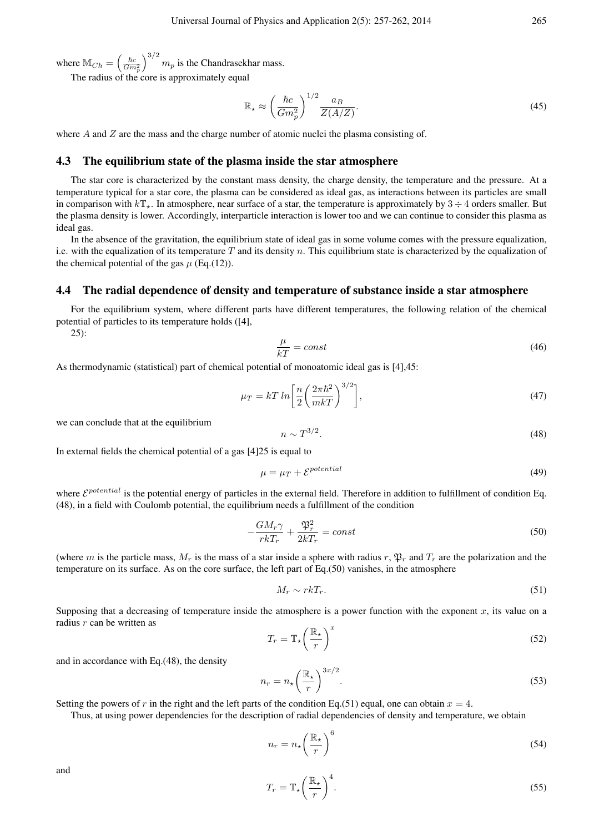where  $M_{Ch} = \left(\frac{\hbar c}{Gm_p^2}\right)$  $\int_{0}^{3/2} m_p$  is the Chandrasekhar mass.

The radius of the core is approximately equal

$$
\mathbb{R}_{\star} \approx \left(\frac{\hbar c}{Gm_p^2}\right)^{1/2} \frac{a_B}{Z(A/Z)}.\tag{45}
$$

where *A* and *Z* are the mass and the charge number of atomic nuclei the plasma consisting of.

# 4.3 The equilibrium state of the plasma inside the star atmosphere

The star core is characterized by the constant mass density, the charge density, the temperature and the pressure. At a temperature typical for a star core, the plasma can be considered as ideal gas, as interactions between its particles are small in comparison with  $kT_{\star}$ . In atmosphere, near surface of a star, the temperature is approximately by  $3 \div 4$  orders smaller. But the plasma density is lower. Accordingly, interparticle interaction is lower too and we can continue to consider this plasma as ideal gas.

In the absence of the gravitation, the equilibrium state of ideal gas in some volume comes with the pressure equalization, i.e. with the equalization of its temperature *T* and its density *n*. This equilibrium state is characterized by the equalization of the chemical potential of the gas  $\mu$  (Eq.(12)).

# 4.4 The radial dependence of density and temperature of substance inside a star atmosphere

For the equilibrium system, where different parts have different temperatures, the following relation of the chemical potential of particles to its temperature holds ([4],

25):

$$
\frac{\mu}{kT} = const \tag{46}
$$

As thermodynamic (statistical) part of chemical potential of monoatomic ideal gas is [4],45:

$$
\mu_T = kT \ln \left[ \frac{n}{2} \left( \frac{2\pi \hbar^2}{mkT} \right)^{3/2} \right],\tag{47}
$$

we can conclude that at the equilibrium

$$
n \sim T^{3/2}.\tag{48}
$$

In external fields the chemical potential of a gas [4]25 is equal to

$$
\mu = \mu_T + \mathcal{E}^{potential} \tag{49}
$$

where  $\mathcal{E}^{potential}$  is the potential energy of particles in the external field. Therefore in addition to fulfillment of condition Eq. (48), in a field with Coulomb potential, the equilibrium needs a fulfillment of the condition

$$
-\frac{GM_r\gamma}{rkT_r} + \frac{\mathfrak{P}_r^2}{2kT_r} = const
$$
\n(50)

(where *m* is the particle mass,  $M_r$  is the mass of a star inside a sphere with radius  $r, \mathfrak{P}_r$  and  $T_r$  are the polarization and the temperature on its surface. As on the core surface, the left part of Eq.(50) vanishes, in the atmosphere

$$
M_r \sim r k T_r. \tag{51}
$$

Supposing that a decreasing of temperature inside the atmosphere is a power function with the exponent  $x$ , its value on a radius *r* can be written as

$$
T_r = \mathbb{T}_\star \left(\frac{\mathbb{R}_\star}{r}\right)^x \tag{52}
$$

and in accordance with Eq.(48), the density

$$
n_r = n_\star \left(\frac{\mathbb{R}_\star}{r}\right)^{3x/2}.\tag{53}
$$

Setting the powers of *r* in the right and the left parts of the condition Eq.(51) equal, one can obtain  $x = 4$ .

Thus, at using power dependencies for the description of radial dependencies of density and temperature, we obtain

$$
n_r = n_\star \left(\frac{\mathbb{R}_\star}{r}\right)^6 \tag{54}
$$

and

$$
T_r = \mathbb{T}_\star \left(\frac{\mathbb{R}_\star}{r}\right)^4. \tag{55}
$$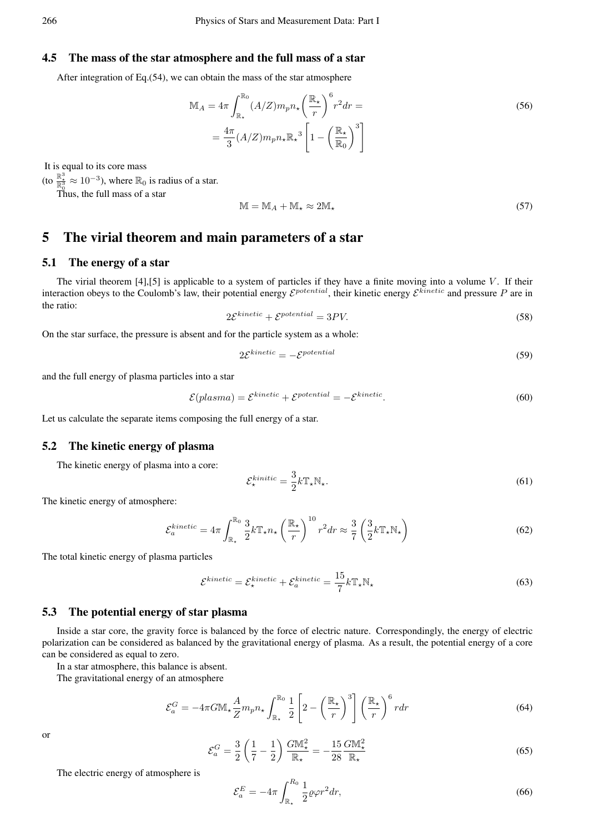# 4.5 The mass of the star atmosphere and the full mass of a star

After integration of Eq.(54), we can obtain the mass of the star atmosphere

$$
\mathbb{M}_A = 4\pi \int_{\mathbb{R}_\star}^{\mathbb{R}_0} (A/Z) m_p n_\star \left(\frac{\mathbb{R}_\star}{r}\right)^6 r^2 dr =
$$
\n
$$
= \frac{4\pi}{3} (A/Z) m_p n_\star \mathbb{R}_\star^3 \left[1 - \left(\frac{\mathbb{R}_\star}{\mathbb{R}_0}\right)^3\right]
$$
\n(56)

It is equal to its core mass

(to  $\frac{\mathbb{R}^3}{\mathbb{R}^3_0} \approx 10^{-3}$ ), where  $\mathbb{R}_0$  is radius of a star.

 $\mathop{\mathrm{Thus}}\limits^{\mathbb{R}_0}$  the full mass of a star

$$
\mathbb{M} = \mathbb{M}_A + \mathbb{M}_\star \approx 2\mathbb{M}_\star \tag{57}
$$

# 5 The virial theorem and main parameters of a star

# 5.1 The energy of a star

The virial theorem  $[4]$ ,  $[5]$  is applicable to a system of particles if they have a finite moving into a volume *V*. If their interaction obeys to the Coulomb's law, their potential energy  $\mathcal{E}^{potential}$ , their kinetic energy  $\mathcal{E}^{kinetic}$  and pressure  $P$  are in the ratio:

$$
2\mathcal{E}^{kinetic} + \mathcal{E}^{potential} = 3PV.\tag{58}
$$

On the star surface, the pressure is absent and for the particle system as a whole:

$$
2\mathcal{E}^{kinetic} = -\mathcal{E}^{potential} \tag{59}
$$

and the full energy of plasma particles into a star

$$
\mathcal{E}(plasma) = \mathcal{E}^{kinetic} + \mathcal{E}^{potential} = -\mathcal{E}^{kinetic}.
$$
\n(60)

Let us calculate the separate items composing the full energy of a star.

# 5.2 The kinetic energy of plasma

The kinetic energy of plasma into a core:

$$
\mathcal{E}_{\star}^{kinitic} = \frac{3}{2} k \mathbb{T}_{\star} \mathbb{N}_{\star}.
$$
 (61)

The kinetic energy of atmosphere:

$$
\mathcal{E}_a^{kinetic} = 4\pi \int_{\mathbb{R}_\star}^{\mathbb{R}_0} \frac{3}{2} k \mathbb{T}_\star n_\star \left(\frac{\mathbb{R}_\star}{r}\right)^{10} r^2 dr \approx \frac{3}{7} \left(\frac{3}{2} k \mathbb{T}_\star \mathbb{N}_\star\right) \tag{62}
$$

The total kinetic energy of plasma particles

$$
\mathcal{E}^{kinetic} = \mathcal{E}_{\star}^{kinetic} + \mathcal{E}_{a}^{kinetic} = \frac{15}{7}k\mathbb{T}_{\star}\mathbb{N}_{\star}
$$
\n(63)

### 5.3 The potential energy of star plasma

Inside a star core, the gravity force is balanced by the force of electric nature. Correspondingly, the energy of electric polarization can be considered as balanced by the gravitational energy of plasma. As a result, the potential energy of a core can be considered as equal to zero.

In a star atmosphere, this balance is absent.

The gravitational energy of an atmosphere

$$
\mathcal{E}_a^G = -4\pi G M_\star \frac{A}{Z} m_p n_\star \int_{\mathbb{R}_\star}^{\mathbb{R}_0} \frac{1}{2} \left[ 2 - \left( \frac{\mathbb{R}_\star}{r} \right)^3 \right] \left( \frac{\mathbb{R}_\star}{r} \right)^6 r dr \tag{64}
$$

or

$$
\mathcal{E}_a^G = \frac{3}{2} \left( \frac{1}{7} - \frac{1}{2} \right) \frac{G M_{\star}^2}{\mathbb{R}_{\star}} = -\frac{15}{28} \frac{G M_{\star}^2}{\mathbb{R}_{\star}}
$$
(65)

The electric energy of atmosphere is

$$
\mathcal{E}_a^E = -4\pi \int_{\mathbb{R}_\star}^{R_0} \frac{1}{2} \varrho \varphi r^2 dr,\tag{66}
$$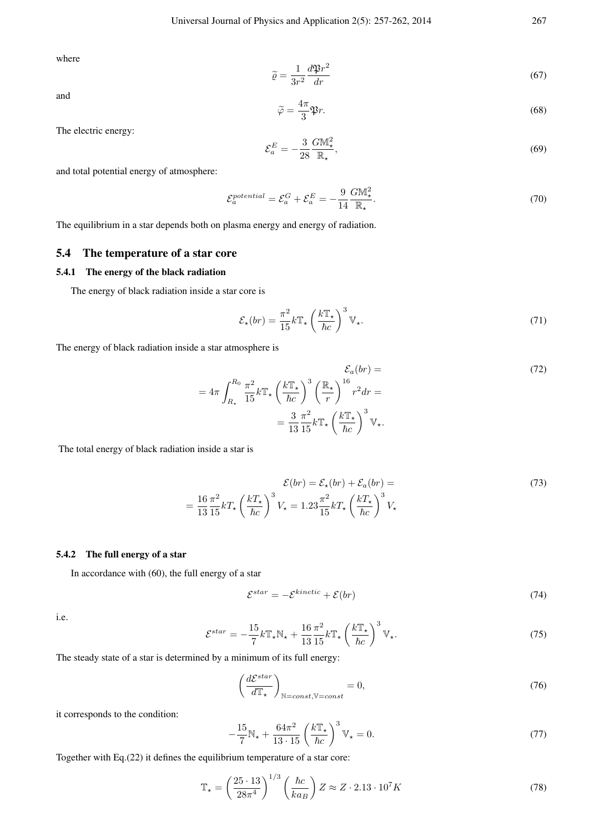where

and

$$
\tilde{\varrho} = \frac{1}{3r^2} \frac{d\mathfrak{P}r^2}{dr} \tag{67}
$$

$$
\widetilde{\varphi} = \frac{4\pi}{3} \mathfrak{P}r. \tag{68}
$$

The electric energy:

$$
\mathcal{E}_a^E = -\frac{3}{28} \frac{G M_\star^2}{\mathbb{R}_\star},\tag{69}
$$

and total potential energy of atmosphere:

$$
\mathcal{E}_a^{potential} = \mathcal{E}_a^G + \mathcal{E}_a^E = -\frac{9}{14} \frac{G M_{\star}^2}{\mathbb{R}_{\star}}.
$$
\n(70)

The equilibrium in a star depends both on plasma energy and energy of radiation.

# 5.4 The temperature of a star core

# 5.4.1 The energy of the black radiation

The energy of black radiation inside a star core is

$$
\mathcal{E}_{\star}(br) = \frac{\pi^2}{15} k \mathbb{T}_{\star} \left(\frac{k \mathbb{T}_{\star}}{\hbar c}\right)^3 \mathbb{V}_{\star}.
$$
 (71)

The energy of black radiation inside a star atmosphere is

$$
\mathcal{E}_a(br) =
$$
  
=  $4\pi \int_{R_{\star}}^{R_0} \frac{\pi^2}{15} k \mathbb{T}_{\star} \left(\frac{k \mathbb{T}_{\star}}{\hbar c}\right)^3 \left(\frac{\mathbb{R}_{\star}}{r}\right)^{16} r^2 dr =$   
=  $\frac{3}{13} \frac{\pi^2}{15} k \mathbb{T}_{\star} \left(\frac{k \mathbb{T}_{\star}}{\hbar c}\right)^3 \mathbb{V}_{\star}.$  (72)

The total energy of black radiation inside a star is

$$
\mathcal{E}(br) = \mathcal{E}_{\star}(br) + \mathcal{E}_{a}(br) = \frac{16}{13} \frac{\pi^{2}}{15} kT_{\star} \left(\frac{kT_{\star}}{\hbar c}\right)^{3} V_{\star} = 1.23 \frac{\pi^{2}}{15} kT_{\star} \left(\frac{kT_{\star}}{\hbar c}\right)^{3} V_{\star}
$$
\n(73)

# 5.4.2 The full energy of a star

In accordance with (60), the full energy of a star

$$
\mathcal{E}^{star} = -\mathcal{E}^{kinetic} + \mathcal{E}(br) \tag{74}
$$

i.e.

$$
\mathcal{E}^{star} = -\frac{15}{7}k\mathbb{T}_{\star}\mathbb{N}_{\star} + \frac{16}{13}\frac{\pi^{2}}{15}k\mathbb{T}_{\star} \left(\frac{k\mathbb{T}_{\star}}{\hbar c}\right)^{3}\mathbb{V}_{\star}.
$$
 (75)

The steady state of a star is determined by a minimum of its full energy:

$$
\left(\frac{d\mathcal{E}^{star}}{d\mathbb{T}_{\star}}\right)_{\mathbb{N}=const,\mathbb{V}=const} = 0,\tag{76}
$$

it corresponds to the condition:

$$
-\frac{15}{7}N_{\star} + \frac{64\pi^2}{13 \cdot 15} \left(\frac{k \mathbb{T}_{\star}}{\hbar c}\right)^3 \mathbb{V}_{\star} = 0. \tag{77}
$$

Together with Eq.(22) it defines the equilibrium temperature of a star core:

$$
\mathbb{T}_{\star} = \left(\frac{25 \cdot 13}{28\pi^4}\right)^{1/3} \left(\frac{\hbar c}{ka_B}\right) Z \approx Z \cdot 2.13 \cdot 10^7 K \tag{78}
$$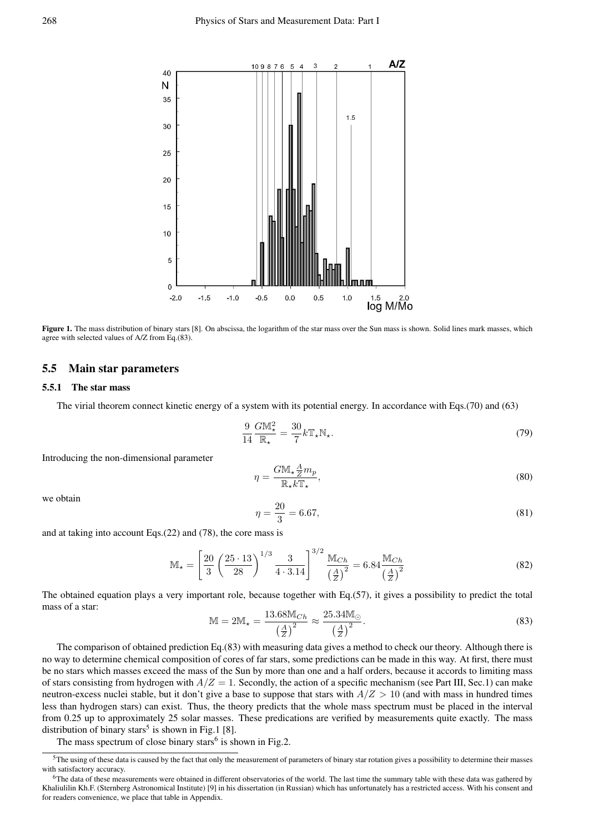

Figure 1. The mass distribution of binary stars [8]. On abscissa, the logarithm of the star mass over the Sun mass is shown. Solid lines mark masses, which agree with selected values of A/Z from Eq.(83).

# 5.5 Main star parameters

### 5.5.1 The star mass

The virial theorem connect kinetic energy of a system with its potential energy. In accordance with Eqs.(70) and (63)

$$
\frac{9}{14} \frac{G M_{\star}^2}{\mathbb{R}_{\star}} = \frac{30}{7} k \mathbb{T}_{\star} \mathbb{N}_{\star}.
$$
 (79)

Introducing the non-dimensional parameter

$$
\eta = \frac{G M_{\star} \frac{A}{Z} m_p}{\mathbb{R}_{\star} k \mathbb{T}_{\star}},\tag{80}
$$

we obtain

$$
\eta = \frac{20}{3} = 6.67,\tag{81}
$$

and at taking into account Eqs.(22) and (78), the core mass is

$$
\mathbb{M}_{\star} = \left[\frac{20}{3} \left(\frac{25 \cdot 13}{28}\right)^{1/3} \frac{3}{4 \cdot 3.14} \right]^{3/2} \frac{\mathbb{M}_{Ch}}{\left(\frac{A}{Z}\right)^2} = 6.84 \frac{\mathbb{M}_{Ch}}{\left(\frac{A}{Z}\right)^2} \tag{82}
$$

The obtained equation plays a very important role, because together with Eq.(57), it gives a possibility to predict the total mass of a star:

$$
\mathbb{M} = 2\mathbb{M}_{\star} = \frac{13.68 \mathbb{M}_{Ch}}{\left(\frac{A}{Z}\right)^2} \approx \frac{25.34 \mathbb{M}_{\odot}}{\left(\frac{A}{Z}\right)^2}.
$$
\n(83)

The comparison of obtained prediction Eq.(83) with measuring data gives a method to check our theory. Although there is no way to determine chemical composition of cores of far stars, some predictions can be made in this way. At first, there must be no stars which masses exceed the mass of the Sun by more than one and a half orders, because it accords to limiting mass of stars consisting from hydrogen with  $A/Z = 1$ . Secondly, the action of a specific mechanism (see Part III, Sec.1) can make neutron-excess nuclei stable, but it don't give a base to suppose that stars with *A/Z >* 10 (and with mass in hundred times less than hydrogen stars) can exist. Thus, the theory predicts that the whole mass spectrum must be placed in the interval from 0.25 up to approximately 25 solar masses. These predications are verified by measurements quite exactly. The mass distribution of binary stars<sup>5</sup> is shown in Fig.1 [8].

The mass spectrum of close binary stars<sup>6</sup> is shown in Fig.2.

 $5$ The using of these data is caused by the fact that only the measurement of parameters of binary star rotation gives a possibility to determine their masses with satisfactory accuracy.

 $6$ The data of these measurements were obtained in different observatories of the world. The last time the summary table with these data was gathered by Khaliulilin Kh.F. (Sternberg Astronomical Institute) [9] in his dissertation (in Russian) which has unfortunately has a restricted access. With his consent and for readers convenience, we place that table in Appendix.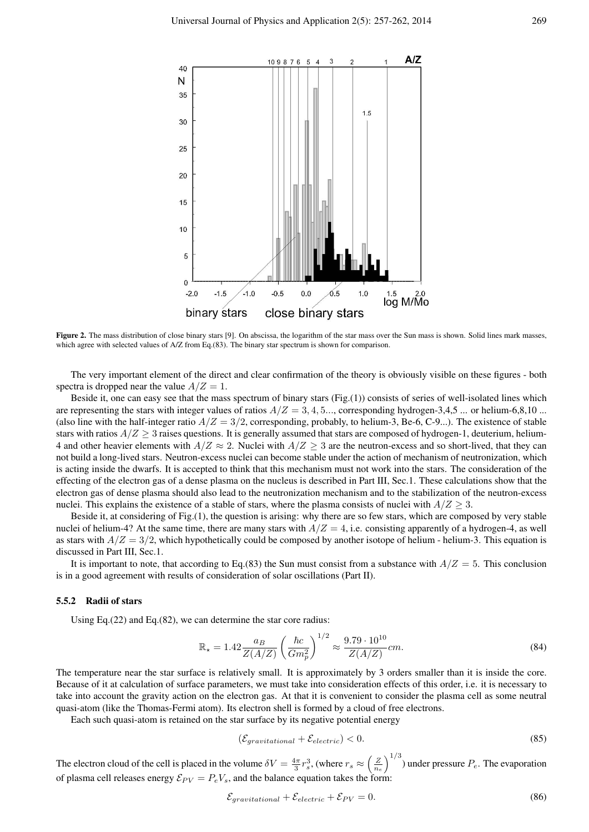

Figure 2. The mass distribution of close binary stars [9]. On abscissa, the logarithm of the star mass over the Sun mass is shown. Solid lines mark masses which agree with selected values of A/Z from Eq.(83). The binary star spectrum is shown for comparison.

The very important element of the direct and clear confirmation of the theory is obviously visible on these figures - both spectra is dropped near the value  $A/Z = 1$ .

Beside it, one can easy see that the mass spectrum of binary stars (Fig.(1)) consists of series of well-isolated lines which are representing the stars with integer values of ratios  $A/Z = 3, 4, 5...$ , corresponding hydrogen-3,4,5 ... or helium-6,8,10 ... (also line with the half-integer ratio  $A/Z = 3/2$ , corresponding, probably, to helium-3, Be-6, C-9...). The existence of stable stars with ratios  $A/Z \ge 3$  raises questions. It is generally assumed that stars are composed of hydrogen-1, deuterium, helium-4 and other heavier elements with  $A/Z \approx 2$ . Nuclei with  $A/Z \geq 3$  are the neutron-excess and so short-lived, that they can not build a long-lived stars. Neutron-excess nuclei can become stable under the action of mechanism of neutronization, which is acting inside the dwarfs. It is accepted to think that this mechanism must not work into the stars. The consideration of the effecting of the electron gas of a dense plasma on the nucleus is described in Part III, Sec.1. These calculations show that the electron gas of dense plasma should also lead to the neutronization mechanism and to the stabilization of the neutron-excess nuclei. This explains the existence of a stable of stars, where the plasma consists of nuclei with  $A/Z \geq 3$ .

Beside it, at considering of Fig.(1), the question is arising: why there are so few stars, which are composed by very stable nuclei of helium-4? At the same time, there are many stars with  $A/Z = 4$ , i.e. consisting apparently of a hydrogen-4, as well as stars with  $A/Z = 3/2$ , which hypothetically could be composed by another isotope of helium - helium-3. This equation is discussed in Part III, Sec.1.

It is important to note, that according to Eq.(83) the Sun must consist from a substance with  $A/Z = 5$ . This conclusion is in a good agreement with results of consideration of solar oscillations (Part II).

#### 5.5.2 Radii of stars

Using Eq.(22) and Eq.(82), we can determine the star core radius:

$$
\mathbb{R}_{\star} = 1.42 \frac{a_B}{Z(A/Z)} \left(\frac{\hbar c}{Gm_p^2}\right)^{1/2} \approx \frac{9.79 \cdot 10^{10}}{Z(A/Z)} cm. \tag{84}
$$

The temperature near the star surface is relatively small. It is approximately by 3 orders smaller than it is inside the core. Because of it at calculation of surface parameters, we must take into consideration effects of this order, i.e. it is necessary to take into account the gravity action on the electron gas. At that it is convenient to consider the plasma cell as some neutral quasi-atom (like the Thomas-Fermi atom). Its electron shell is formed by a cloud of free electrons.

Each such quasi-atom is retained on the star surface by its negative potential energy

$$
(\mathcal{E}_{gravitational} + \mathcal{E}_{electric}) < 0. \tag{85}
$$

The electron cloud of the cell is placed in the volume  $\delta V = \frac{4\pi}{3} r_s^3$ , (where  $r_s \approx \left(\frac{Z}{n_e}\right)$  $\int_{0}^{1/3}$  under pressure  $P_e$ . The evaporation of plasma cell releases energy  $\mathcal{E}_{PV} = P_e V_s$ , and the balance equation takes the form:

$$
\mathcal{E}_{gravitational} + \mathcal{E}_{electric} + \mathcal{E}_{PV} = 0. \tag{86}
$$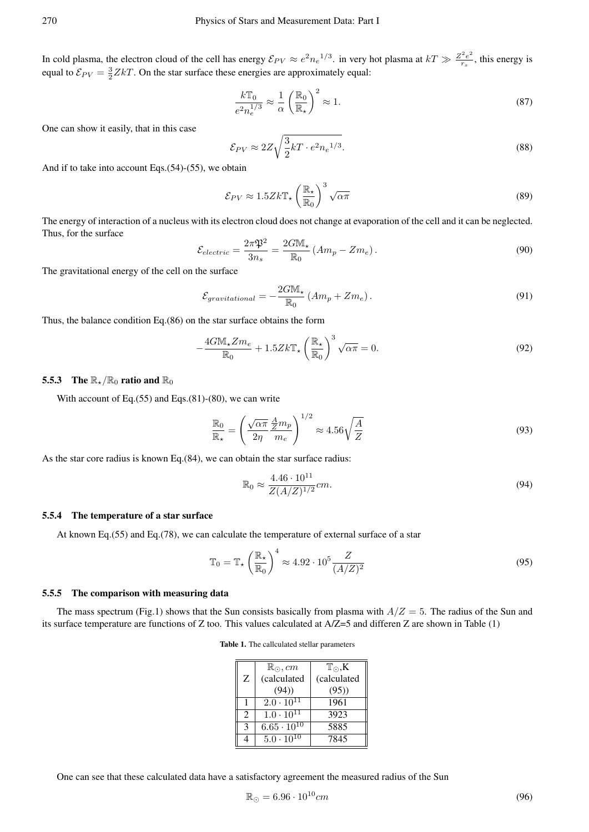In cold plasma, the electron cloud of the cell has energy  $\mathcal{E}_{PV} \approx e^2 n_e^{1/3}$ . in very hot plasma at  $kT \gg \frac{Z^2 e^2}{r_s}$  $\frac{r^2 e^2}{r_s}$ , this energy is equal to  $\mathcal{E}_{PV} = \frac{3}{2} Z kT$ . On the star surface these energies are approximately equal:

$$
\frac{k\mathbb{T}_0}{e^2 n_e^{1/3}} \approx \frac{1}{\alpha} \left(\frac{\mathbb{R}_0}{\mathbb{R}_\star}\right)^2 \approx 1.
$$
\n(87)

One can show it easily, that in this case

$$
\mathcal{E}_{PV} \approx 2Z \sqrt{\frac{3}{2}kT \cdot e^2 n_e^{1/3}}.
$$
\n(88)

And if to take into account Eqs.(54)-(55), we obtain

$$
\mathcal{E}_{PV} \approx 1.5 Z k \mathbb{T}_{\star} \left(\frac{\mathbb{R}_{\star}}{\mathbb{R}_{0}}\right)^{3} \sqrt{\alpha \pi}
$$
\n(89)

The energy of interaction of a nucleus with its electron cloud does not change at evaporation of the cell and it can be neglected. Thus, for the surface

$$
\mathcal{E}_{electric} = \frac{2\pi\mathfrak{P}^2}{3n_s} = \frac{2GM_\star}{\mathbb{R}_0} \left( Am_p - Zm_e \right). \tag{90}
$$

The gravitational energy of the cell on the surface

$$
\mathcal{E}_{gravitational} = -\frac{2G\mathbb{M}_{\star}}{\mathbb{R}_{0}} \left( A m_{p} + Z m_{e} \right). \tag{91}
$$

Thus, the balance condition Eq.(86) on the star surface obtains the form

$$
-\frac{4G\mathbb{M}_{\star}Zm_{e}}{\mathbb{R}_{0}}+1.5Zk\mathbb{T}_{\star}\left(\frac{\mathbb{R}_{\star}}{\mathbb{R}_{0}}\right)^{3}\sqrt{\alpha\pi}=0.
$$
\n(92)

### 5.5.3 The  $\mathbb{R}_*/\mathbb{R}_0$  ratio and  $\mathbb{R}_0$

With account of Eq. $(55)$  and Eqs. $(81)-(80)$ , we can write

$$
\frac{\mathbb{R}_0}{\mathbb{R}_\star} = \left(\frac{\sqrt{\alpha \pi}}{2\eta} \frac{A}{m_e} m_p\right)^{1/2} \approx 4.56 \sqrt{\frac{A}{Z}}
$$
\n(93)

As the star core radius is known Eq.(84), we can obtain the star surface radius:

$$
\mathbb{R}_0 \approx \frac{4.46 \cdot 10^{11}}{Z(A/Z)^{1/2}} cm.
$$
\n(94)

### 5.5.4 The temperature of a star surface

At known Eq.(55) and Eq.(78), we can calculate the temperature of external surface of a star

$$
\mathbb{T}_0 = \mathbb{T}_\star \left(\frac{\mathbb{R}_\star}{\mathbb{R}_0}\right)^4 \approx 4.92 \cdot 10^5 \frac{Z}{(A/Z)^2} \tag{95}
$$

#### 5.5.5 The comparison with measuring data

The mass spectrum (Fig.1) shows that the Sun consists basically from plasma with  $A/Z = 5$ . The radius of the Sun and its surface temperature are functions of Z too. This values calculated at A/Z=5 and differen Z are shown in Table (1)

Table 1. The callculated stellar parameters

|                             | $\mathbb{R}_{\odot}, cm$ | $T_{\odot}$ , K |
|-----------------------------|--------------------------|-----------------|
| Z                           | (calculated              | (calculated     |
|                             | (94)                     | (95)            |
|                             | $2.0 \cdot 10^{11}$      | 1961            |
| $\mathcal{D}_{\mathcal{L}}$ | $1.0 \cdot 10^{11}$      | 3923            |
| κ                           | $6.65 \cdot 10^{10}$     | 5885            |
|                             | $5.0 \cdot 10^{10}$      | 7845            |

One can see that these calculated data have a satisfactory agreement the measured radius of the Sun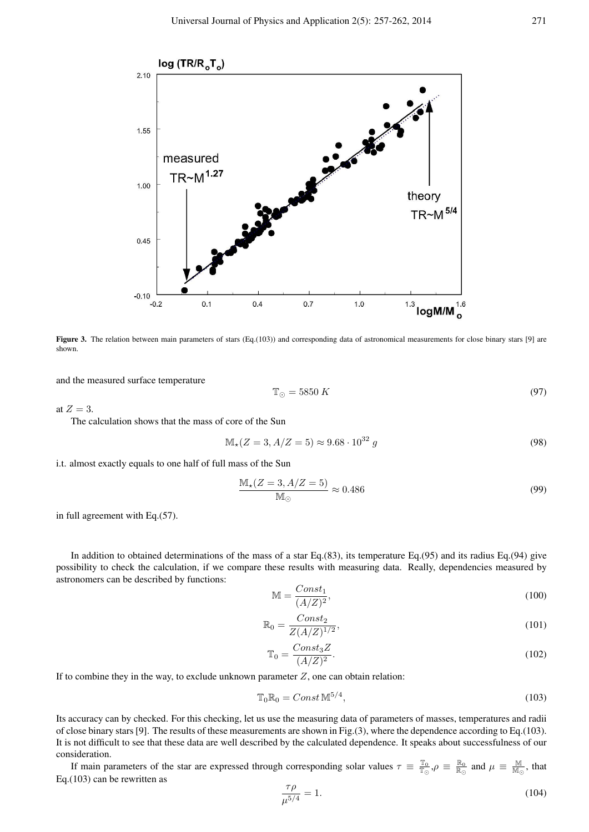

Figure 3. The relation between main parameters of stars (Eq.(103)) and corresponding data of astronomical measurements for close binary stars [9] are shown.

and the measured surface temperature

$$
\mathbb{T}_{\odot} = 5850 \, K \tag{97}
$$

at  $Z=3$ .

The calculation shows that the mass of core of the Sun

$$
\mathbb{M}_{\star}(Z=3, A/Z=5) \approx 9.68 \cdot 10^{32} \, g \tag{98}
$$

i.t. almost exactly equals to one half of full mass of the Sun

$$
\frac{\mathcal{M}_\star (Z=3, A/Z=5)}{\mathcal{M}_\odot} \approx 0.486\tag{99}
$$

in full agreement with Eq.(57).

In addition to obtained determinations of the mass of a star Eq.(83), its temperature Eq.(95) and its radius Eq.(94) give possibility to check the calculation, if we compare these results with measuring data. Really, dependencies measured by astronomers can be described by functions:

$$
\mathbb{M} = \frac{Const_1}{(A/Z)^2},\tag{100}
$$

$$
\mathbb{R}_0 = \frac{Const_2}{Z(A/Z)^{1/2}},\tag{101}
$$

$$
\mathbb{T}_0 = \frac{Const_3Z}{(A/Z)^2}.\tag{102}
$$

If to combine they in the way, to exclude unknown parameter  $Z$ , one can obtain relation:

$$
\mathbb{T}_0 \mathbb{R}_0 = Const \mathbb{M}^{5/4},\tag{103}
$$

Its accuracy can by checked. For this checking, let us use the measuring data of parameters of masses, temperatures and radii of close binary stars [9]. The results of these measurements are shown in Fig.(3), where the dependence according to Eq.(103). It is not difficult to see that these data are well described by the calculated dependence. It speaks about successfulness of our consideration.

If main parameters of the star are expressed through corresponding solar values  $\tau \equiv \frac{\mathbb{T}_0}{\mathbb{T}_\odot}$ ,  $\rho \equiv \frac{\mathbb{R}_0}{\mathbb{R}_\odot}$  and  $\mu \equiv \frac{\mathbb{M}}{\mathbb{M}_\odot}$ , that Eq.(103) can be rewritten as

$$
\frac{\tau \rho}{\mu^{5/4}} = 1.
$$
\n(104)